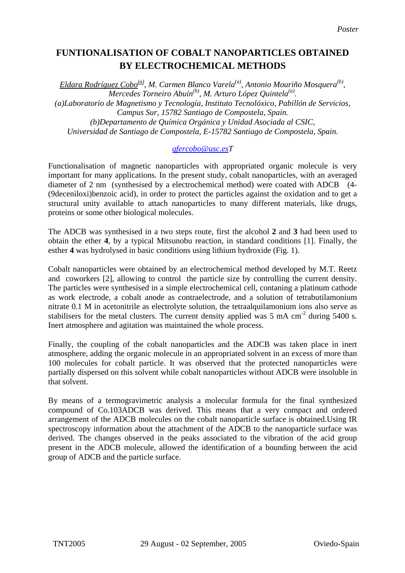## **FUNTIONALISATION OF COBALT NANOPARTICLES OBTAINED BY ELECTROCHEMICAL METHODS**

*Eldara Rodríguez Cobo(a), M. Carmen Blanco Varela(a), Antonio Mouriño Mosquera(b), Mercedes Torneiro Abuín(b), M. Arturo López Quintela(a). (a)Laboratorio de Magnetismo y Tecnología, Instituto Tecnolóxico, Pabillón de Servicios, Campus Sur, 15782 Santiago de Compostela, Spain. (b)Departamento de Química Orgánica y Unidad Asociada al CSIC, Universidad de Santiago de Compostela, E-15782 Santiago de Compostela, Spain.* 

## *[qfercobo@usc.esT](mailto:qfercobo@usc.es)*

Functionalisation of magnetic nanoparticles with appropriated organic molecule is very important for many applications. In the present study, cobalt nanoparticles, with an averaged diameter of 2 nm (synthesised by a electrochemical method) were coated with ADCB (4- (9deceniloxi)benzoic acid), in order to protect the particles against the oxidation and to get a structural unity available to attach nanoparticles to many different materials, like drugs, proteins or some other biological molecules.

The ADCB was synthesised in a two steps route, first the alcohol **2** and **3** had been used to obtain the ether **4**, by a typical Mitsunobu reaction, in standard conditions [1]. Finally, the esther **4** was hydrolysed in basic conditions using lithium hydroxide (Fig. 1).

Cobalt nanoparticles were obtained by an electrochemical method developed by M.T. Reetz and coworkers [2], allowing to control the particle size by controlling the current density. The particles were synthesised in a simple electrochemical cell, contaning a platinum cathode as work electrode, a cobalt anode as contraelectrode, and a solution of tetrabutilamonium nitrate 0.1 M in acetonitrile as electrolyte solution, the tetraalquilamonium ions also serve as stabilisers for the metal clusters. The current density applied was  $5 \text{ mA cm}^2$  during  $5400 \text{ s}$ . Inert atmosphere and agitation was maintained the whole process.

Finally, the coupling of the cobalt nanoparticles and the ADCB was taken place in inert atmosphere, adding the organic molecule in an appropriated solvent in an excess of more than 100 molecules for cobalt particle. It was observed that the protected nanoparticles were partially dispersed on this solvent while cobalt nanoparticles without ADCB were insoluble in that solvent.

By means of a termogravimetric analysis a molecular formula for the final synthesized compound of Co.103ADCB was derived. This means that a very compact and ordered arrangement of the ADCB molecules on the cobalt nanoparticle surface is obtained.Using IR spectroscopy information about the attachment of the ADCB to the nanoparticle surface was derived. The changes observed in the peaks associated to the vibration of the acid group present in the ADCB molecule, allowed the identification of a bounding between the acid group of ADCB and the particle surface.